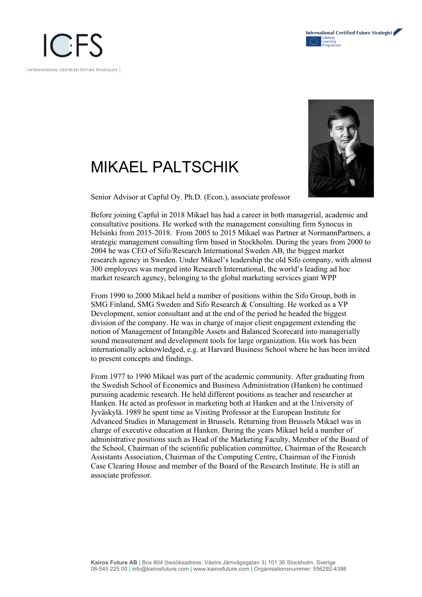

## MIKAEL PALTSCHIK



Senior Advisor at Capful Oy. Ph.D. (Econ.), associate professor

Before joining Capful in 2018 Mikael has had a career in both managerial, academic and consultative positions. He worked with the management consulting firm Synocus in Helsinki from 2015-2018. From 2005 to 2015 Mikael was Partner at NormannPartners, a strategic management consulting firm based in Stockholm. During the years from 2000 to 2004 he was CEO of Sifo/Research International Sweden AB, the biggest market research agency in Sweden. Under Mikael's leadership the old Sifo company, with almost 300 employees was merged into Research International, the world's leading ad hoc market research agency, belonging to the global marketing services giant WPP

From 1990 to 2000 Mikael held a number of positions within the Sifo Group, both in SMG Finland, SMG Sweden and Sifo Research & Consulting. He worked as a VP Development, senior consultant and at the end of the period he headed the biggest division of the company. He was in charge of major client engagement extending the notion of Management of Intangible Assets and Balanced Scorecard into managerially sound measurement and development tools for large organization. His work has been internationally acknowledged, e.g. at Harvard Business School where he has been invited to present concepts and findings.

From 1977 to 1990 Mikael was part of the academic community. After graduating from the Swedish School of Economics and Business Administration (Hanken) he continued pursuing academic research. He held different positions as teacher and researcher at Hanken. He acted as professor in marketing both at Hanken and at the University of Jyväskylä. 1989 he spent time as Visiting Professor at the European Institute for Advanced Studies in Management in Brussels. Returning from Brussels Mikael was in charge of executive education at Hanken. During the years Mikael held a number of administrative positions such as Head of the Marketing Faculty, Member of the Board of the School, Chairman of the scientific publication committee, Chairman of the Research Assistants Association, Chairman of the Computing Centre, Chairman of the Finnish Case Clearing House and member of the Board of the Research Institute. He is still an associate professor.